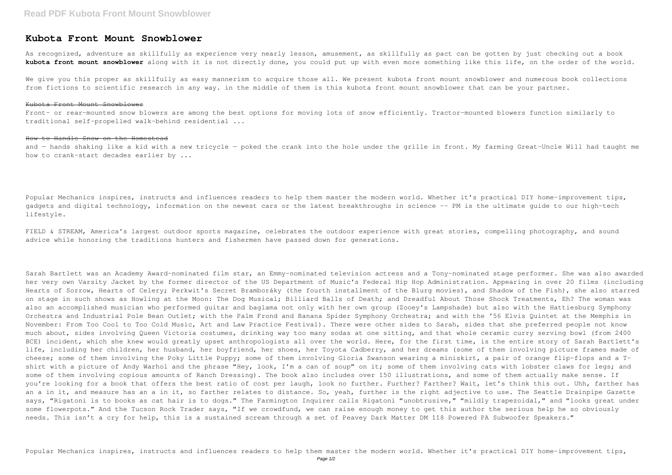## **Kubota Front Mount Snowblower**

As recognized, adventure as skillfully as experience very nearly lesson, amusement, as skillfully as pact can be gotten by just checking out a book **kubota front mount snowblower** along with it is not directly done, you could put up with even more something like this life, on the order of the world.

We give you this proper as skillfully as easy mannerism to acquire those all. We present kubota front mount snowblower and numerous book collections from fictions to scientific research in any way. in the middle of them is this kubota front mount snowblower that can be your partner.

## Kubota Front Mount Snowblower

Front- or rear-mounted snow blowers are among the best options for moving lots of snow efficiently. Tractor-mounted blowers function similarly to traditional self-propelled walk-behind residential ...

FIELD & STREAM, America's largest outdoor sports magazine, celebrates the outdoor experience with great stories, compelling photography, and sound advice while honoring the traditions hunters and fishermen have passed down for generations.

## How to Handle Snow on the Homestead

and — hands shaking like a kid with a new tricycle — poked the crank into the hole under the grille in front. My farming Great-Uncle Will had taught me how to crank-start decades earlier by ...

Popular Mechanics inspires, instructs and influences readers to help them master the modern world. Whether it's practical DIY home-improvement tips, gadgets and digital technology, information on the newest cars or the latest breakthroughs in science -- PM is the ultimate quide to our high-tech lifestyle.

Sarah Bartlett was an Academy Award-nominated film star, an Emmy-nominated television actress and a Tony-nominated stage performer. She was also awarded her very own Varsity Jacket by the former director of the US Department of Music's Federal Hip Hop Administration. Appearing in over 20 films (including Hearts of Sorrow, Hearts of Celery; Perkwit's Secret Bramboráky (the fourth installment of the Blurg movies), and Shadow of the Fish), she also starred on stage in such shows as Howling at the Moon: The Dog Musical; Billiard Balls of Death; and Dreadful About Those Shock Treatments, Eh? The woman was also an accomplished musician who performed guitar and baglama not only with her own group (Zooey's Lampshade) but also with the Hattiesburg Symphony Orchestra and Industrial Pole Bean Outlet; with the Palm Frond and Banana Spider Symphony Orchestra; and with the '56 Elvis Quintet at the Memphis in November: From Too Cool to Too Cold Music, Art and Law Practice Festival). There were other sides to Sarah, sides that she preferred people not know much about, sides involving Queen Victoria costumes, drinking way too many sodas at one sitting, and that whole ceramic curry serving bowl (from 2400 BCE) incident, which she knew would greatly upset anthropologists all over the world. Here, for the first time, is the entire story of Sarah Bartlett's life, including her children, her husband, her boyfriend, her shoes, her Toyota Cadberry, and her dreams (some of them involving picture frames made of cheese; some of them involving the Poky Little Puppy; some of them involving Gloria Swanson wearing a miniskirt, a pair of orange flip-flops and a Tshirt with a picture of Andy Warhol and the phrase "Hey, look, I'm a can of soup" on it; some of them involving cats with lobster claws for legs; and some of them involving copious amounts of Ranch Dressing). The book also includes over 150 illustrations, and some of them actually make sense. If you're looking for a book that offers the best ratio of cost per laugh, look no further. Further? Farther? Wait, let's think this out. Uhh, farther has an a in it, and measure has an a in it, so farther relates to distance. So, yeah, further is the right adjective to use. The Seattle Drainpipe Gazette says, "Rigatoni is to books as cat hair is to dogs." The Farmington Inquirer calls Rigatoni "unobtrusive," "mildly trapezoidal," and "looks great under some flowerpots." And the Tucson Rock Trader says, "If we crowdfund, we can raise enough money to get this author the serious help he so obviously needs. This isn't a cry for help, this is a sustained scream through a set of Peavey Dark Matter DM 118 Powered PA Subwoofer Speakers."